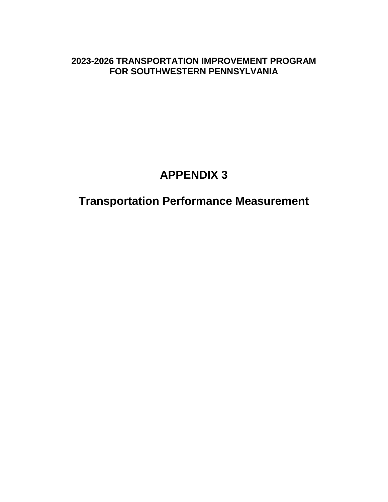# **2023-2026 TRANSPORTATION IMPROVEMENT PROGRAM FOR SOUTHWESTERN PENNSYLVANIA**

# **APPENDIX 3**

# **Transportation Performance Measurement**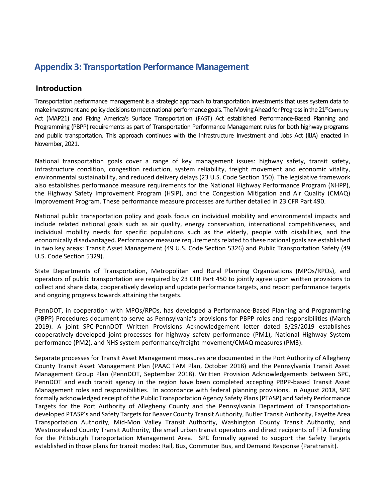# **Appendix 3: Transportation Performance Management**

## **Introduction**

Transportation performance management is a strategic approach to transportation investments that uses system data to make investment and policy decisions to meet national performance goals. The Moving Ahead for Progress in the 21<sup>st</sup> Century Act (MAP21) and Fixing America's Surface Transportation (FAST) Act established Performance-Based Planning and Programming (PBPP) requirements as part of Transportation Performance Management rules for both highway programs and public transportation. This approach continues with the Infrastructure Investment and Jobs Act (IIJA) enacted in November, 2021.

National transportation goals cover a range of key management issues: highway safety, transit safety, infrastructure condition, congestion reduction, system reliability, freight movement and economic vitality, environmental sustainability, and reduced delivery delays (23 U.S. Code Section 150). The legislative framework also establishes performance measure requirements for the National Highway Performance Program (NHPP), the Highway Safety Improvement Program (HSIP), and the Congestion Mitigation and Air Quality (CMAQ) Improvement Program. These performance measure processes are further detailed in 23 CFR Part 490.

National public transportation policy and goals focus on individual mobility and environmental impacts and include related national goals such as air quality, energy conservation, international competitiveness, and individual mobility needs for specific populations such as the elderly, people with disabilities, and the economically disadvantaged. Performance measure requirements related to these national goals are established in two key areas: Transit Asset Management (49 U.S. Code Section 5326) and Public Transportation Safety (49 U.S. Code Section 5329).

State Departments of Transportation, Metropolitan and Rural Planning Organizations (MPOs/RPOs), and operators of public transportation are required by 23 CFR Part 450 to jointly agree upon written provisions to collect and share data, cooperatively develop and update performance targets, and report performance targets and ongoing progress towards attaining the targets.

PennDOT, in cooperation with MPOs/RPOs, has developed a Performance-Based Planning and Programming (PBPP) Procedures document to serve as Pennsylvania's provisions for PBPP roles and responsibilities (March 2019). A joint SPC-PennDOT Written Provisions Acknowledgement letter dated 3/29/2019 establishes cooperatively-developed joint-processes for highway safety performance (PM1), National Highway System performance (PM2), and NHS system performance/freight movement/CMAQ measures (PM3).

Separate processes for Transit Asset Management measures are documented in the Port Authority of Allegheny County Transit Asset Management Plan (PAAC TAM Plan, October 2018) and the Pennsylvania Transit Asset Management Group Plan (PennDOT, September 2018). Written Provision Acknowledgements between SPC, PennDOT and each transit agency in the region have been completed accepting PBPP-based Transit Asset Management roles and responsibilities. In accordance with federal planning provisions, in August 2018, SPC formally acknowledged receipt of the Public Transportation Agency Safety Plans (PTASP) and Safety Performance Targets for the Port Authority of Allegheny County and the Pennsylvania Department of Transportationdeveloped PTASP's and Safety Targets for Beaver County Transit Authority, Butler Transit Authority, Fayette Area Transportation Authority, Mid-Mon Valley Transit Authority, Washington County Transit Authority, and Westmoreland County Transit Authority, the small urban transit operators and direct recipients of FTA funding for the Pittsburgh Transportation Management Area. SPC formally agreed to support the Safety Targets established in those plans for transit modes: Rail, Bus, Commuter Bus, and Demand Response (Paratransit).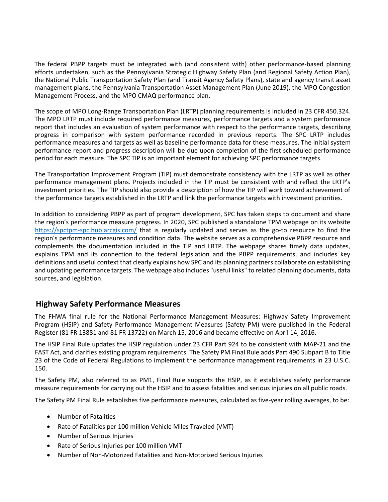The federal PBPP targets must be integrated with (and consistent with) other performance-based planning efforts undertaken, such as the Pennsylvania Strategic Highway Safety Plan (and Regional Safety Action Plan), the National Public Transportation Safety Plan (and Transit Agency Safety Plans), state and agency transit asset management plans, the Pennsylvania Transportation Asset Management Plan (June 2019), the MPO Congestion Management Process, and the MPO CMAQ performance plan.

The scope of MPO Long-Range Transportation Plan (LRTP) planning requirements is included in 23 CFR 450.324. The MPO LRTP must include required performance measures, performance targets and a system performance report that includes an evaluation of system performance with respect to the performance targets, describing progress in comparison with system performance recorded in previous reports. The SPC LRTP includes performance measures and targets as well as baseline performance data for these measures. The initial system performance report and progress description will be due upon completion of the first scheduled performance period for each measure. The SPC TIP is an important element for achieving SPC performance targets.

The Transportation Improvement Program (TIP) must demonstrate consistency with the LRTP as well as other performance management plans. Projects included in the TIP must be consistent with and reflect the LRTP's investment priorities. The TIP should also provide a description of how the TIP will work toward achievement of the performance targets established in the LRTP and link the performance targets with investment priorities.

In addition to considering PBPP as part of program development, SPC has taken steps to document and share the region's performance measure progress. In 2020, SPC published a standalone TPM webpage on its website <https://spctpm-spc.hub.arcgis.com/> that is regularly updated and serves as the go-to resource to find the region's performance measures and condition data. The website serves as a comprehensive PBPP resource and complements the documentation included in the TIP and LRTP. The webpage shares timely data updates, explains TPM and its connection to the federal legislation and the PBPP requirements, and includes key definitions and useful context that clearly explains how SPC and its planning partners collaborate on establishing and updating performance targets. The webpage also includes "useful links" to related planning documents, data sources, and legislation.

## **Highway Safety Performance Measures**

The FHWA final rule for the National Performance Management Measures: Highway Safety Improvement Program (HSIP) and Safety Performance Management Measures (Safety PM) were published in the Federal Register (81 FR 13881 and 81 FR 13722) on March 15, 2016 and became effective on April 14, 2016.

The HSIP Final Rule updates the HSIP regulation under 23 CFR Part 924 to be consistent with MAP-21 and the FAST Act, and clarifies existing program requirements. The Safety PM Final Rule adds Part 490 Subpart B to Title 23 of the Code of Federal Regulations to implement the performance management requirements in 23 U.S.C. 150.

The Safety PM, also referred to as PM1, Final Rule supports the HSIP, as it establishes safety performance measure requirements for carrying out the HSIP and to assess fatalities and serious injuries on all public roads.

The Safety PM Final Rule establishes five performance measures, calculated as five-year rolling averages, to be:

- Number of Fatalities
- Rate of Fatalities per 100 million Vehicle Miles Traveled (VMT)
- Number of Serious Injuries
- Rate of Serious Injuries per 100 million VMT
- Number of Non-Motorized Fatalities and Non-Motorized Serious Injuries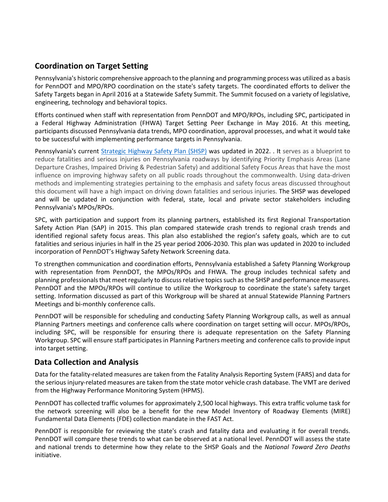# **Coordination on Target Setting**

Pennsylvania's historic comprehensive approach to the planning and programming process was utilized as a basis for PennDOT and MPO/RPO coordination on the state's safety targets. The coordinated efforts to deliver the Safety Targets began in April 2016 at a Statewide Safety Summit. The Summit focused on a variety of legislative, engineering, technology and behavioral topics.

Efforts continued when staff with representation from PennDOT and MPO/RPOs, including SPC, participated in a Federal Highway Administration (FHWA) Target Setting Peer Exchange in May 2016. At this meeting, participants discussed Pennsylvania data trends, MPO coordination, approval processes, and what it would take to be successful with implementing performance targets in Pennsylvania.

Pennsylvania's current [Strategic Highway Safety Plan \(SHSP\)](http://www.penndot.gov/TravelInPA/Safety/Documents/PA%20SHSP%202017-02-15%20(HRRR%20Errata).pdf) was updated in 2022. . It serves as a blueprint to reduce fatalities and serious injuries on Pennsylvania roadways by identifying Priority Emphasis Areas (Lane Departure Crashes, Impaired Driving & Pedestrian Safety) and additional Safety Focus Areas that have the most influence on improving highway safety on all public roads throughout the commonwealth. Using data-driven methods and implementing strategies pertaining to the emphasis and safety focus areas discussed throughout this document will have a high impact on driving down fatalities and serious injuries. The SHSP was developed and will be updated in conjunction with federal, state, local and private sector stakeholders including Pennsylvania's MPOs/RPOs.

SPC, with participation and support from its planning partners, established its first Regional Transportation Safety Action Plan (SAP) in 2015. This plan compared statewide crash trends to regional crash trends and identified regional safety focus areas. This plan also established the region's safety goals, which are to cut fatalities and serious injuries in half in the 25 year period 2006-2030. This plan was updated in 2020 to included incorporation of PennDOT's Highway Safety Network Screening data.

To strengthen communication and coordination efforts, Pennsylvania established a Safety Planning Workgroup with representation from PennDOT, the MPOs/RPOs and FHWA. The group includes technical safety and planning professionals that meet regularly to discuss relative topics such as the SHSP and performance measures. PennDOT and the MPOs/RPOs will continue to utilize the Workgroup to coordinate the state's safety target setting. Information discussed as part of this Workgroup will be shared at annual Statewide Planning Partners Meetings and bi-monthly conference calls.

PennDOT will be responsible for scheduling and conducting Safety Planning Workgroup calls, as well as annual Planning Partners meetings and conference calls where coordination on target setting will occur. MPOs/RPOs, including SPC, will be responsible for ensuring there is adequate representation on the Safety Planning Workgroup. SPC will ensure staff participates in Planning Partners meeting and conference calls to provide input into target setting.

## **Data Collection and Analysis**

Data for the fatality-related measures are taken from the Fatality Analysis Reporting System (FARS) and data for the serious injury-related measures are taken from the state motor vehicle crash database. The VMT are derived from the Highway Performance Monitoring System (HPMS).

PennDOT has collected traffic volumes for approximately 2,500 local highways. This extra traffic volume task for the network screening will also be a benefit for the new Model Inventory of Roadway Elements (MIRE) Fundamental Data Elements (FDE) collection mandate in the FAST Act.

PennDOT is responsible for reviewing the state's crash and fatality data and evaluating it for overall trends. PennDOT will compare these trends to what can be observed at a national level. PennDOT will assess the state and national trends to determine how they relate to the SHSP Goals and the *National Toward Zero Deaths*  initiative.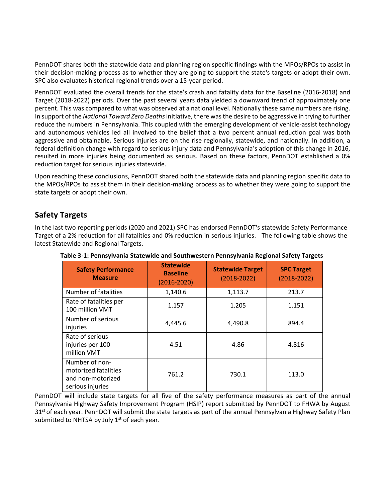PennDOT shares both the statewide data and planning region specific findings with the MPOs/RPOs to assist in their decision-making process as to whether they are going to support the state's targets or adopt their own. SPC also evaluates historical regional trends over a 15-year period.

PennDOT evaluated the overall trends for the state's crash and fatality data for the Baseline (2016-2018) and Target (2018-2022) periods. Over the past several years data yielded a downward trend of approximately one percent. This was compared to what was observed at a national level. Nationally these same numbers are rising. In support of the *National Toward Zero Deaths* initiative, there was the desire to be aggressive in trying to further reduce the numbers in Pennsylvania. This coupled with the emerging development of vehicle-assist technology and autonomous vehicles led all involved to the belief that a two percent annual reduction goal was both aggressive and obtainable. Serious injuries are on the rise regionally, statewide, and nationally. In addition, a federal definition change with regard to serious injury data and Pennsylvania's adoption of this change in 2016, resulted in more injuries being documented as serious. Based on these factors, PennDOT established a 0% reduction target for serious injuries statewide.

Upon reaching these conclusions, PennDOT shared both the statewide data and planning region specific data to the MPOs/RPOs to assist them in their decision-making process as to whether they were going to support the state targets or adopt their own.

## **Safety Targets**

In the last two reporting periods (2020 and 2021) SPC has endorsed PennDOT's statewide Safety Performance Target of a 2% reduction for all fatalities and 0% reduction in serious injuries. The following table shows the latest Statewide and Regional Targets.

| <b>Safety Performance</b><br><b>Measure</b>                                     | <b>Statewide</b><br><b>Baseline</b><br>$(2016 - 2020)$ | <b>Statewide Target</b><br>$(2018 - 2022)$ | <b>SPC Target</b><br>$(2018 - 2022)$ |
|---------------------------------------------------------------------------------|--------------------------------------------------------|--------------------------------------------|--------------------------------------|
| Number of fatalities                                                            | 1,140.6                                                | 1,113.7                                    | 213.7                                |
| Rate of fatalities per<br>100 million VMT                                       | 1.157                                                  | 1.205                                      | 1.151                                |
| Number of serious<br>injuries                                                   | 4,445.6                                                | 4,490.8                                    | 894.4                                |
| Rate of serious<br>injuries per 100<br>million VMT                              | 4.51                                                   | 4.86                                       | 4.816                                |
| Number of non-<br>motorized fatalities<br>and non-motorized<br>serious injuries | 761.2                                                  | 730.1                                      | 113.0                                |

**Table 3-1: Pennsylvania Statewide and Southwestern Pennsylvania Regional Safety Targets**

PennDOT will include state targets for all five of the safety performance measures as part of the annual Pennsylvania Highway Safety Improvement Program (HSIP) report submitted by PennDOT to FHWA by August 31<sup>st</sup> of each year. PennDOT will submit the state targets as part of the annual Pennsylvania Highway Safety Plan submitted to NHTSA by July  $1<sup>st</sup>$  of each year.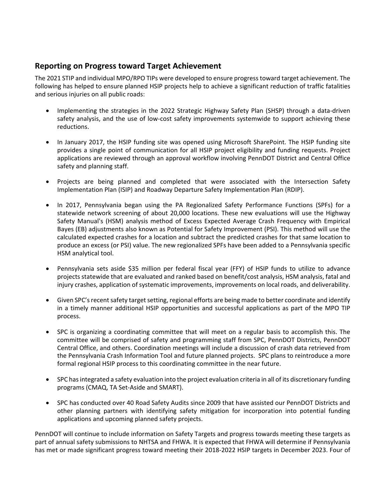## **Reporting on Progress toward Target Achievement**

The 2021 STIP and individual MPO/RPO TIPs were developed to ensure progress toward target achievement. The following has helped to ensure planned HSIP projects help to achieve a significant reduction of traffic fatalities and serious injuries on all public roads:

- Implementing the strategies in the 2022 Strategic Highway Safety Plan (SHSP) through a data-driven safety analysis, and the use of low-cost safety improvements systemwide to support achieving these reductions.
- In January 2017, the HSIP funding site was opened using Microsoft SharePoint. The HSIP funding site provides a single point of communication for all HSIP project eligibility and funding requests. Project applications are reviewed through an approval workflow involving PennDOT District and Central Office safety and planning staff.
- Projects are being planned and completed that were associated with the Intersection Safety Implementation Plan (ISIP) and Roadway Departure Safety Implementation Plan (RDIP).
- In 2017, Pennsylvania began using the PA Regionalized Safety Performance Functions (SPFs) for a statewide network screening of about 20,000 locations. These new evaluations will use the Highway Safety Manual's (HSM) analysis method of Excess Expected Average Crash Frequency with Empirical Bayes (EB) adjustments also known as Potential for Safety Improvement (PSI). This method will use the calculated expected crashes for a location and subtract the predicted crashes for that same location to produce an excess (or PSI) value. The new regionalized SPFs have been added to a Pennsylvania specific HSM analytical tool.
- Pennsylvania sets aside \$35 million per federal fiscal year (FFY) of HSIP funds to utilize to advance projects statewide that are evaluated and ranked based on benefit/cost analysis, HSM analysis, fatal and injury crashes, application of systematic improvements, improvements on local roads, and deliverability.
- Given SPC's recent safety target setting, regional efforts are being made to better coordinate and identify in a timely manner additional HSIP opportunities and successful applications as part of the MPO TIP process.
- SPC is organizing a coordinating committee that will meet on a regular basis to accomplish this. The committee will be comprised of safety and programming staff from SPC, PennDOT Districts, PennDOT Central Office, and others. Coordination meetings will include a discussion of crash data retrieved from the Pennsylvania Crash Information Tool and future planned projects. SPC plans to reintroduce a more formal regional HSIP process to this coordinating committee in the near future.
- SPC has integrated a safety evaluation into the project evaluation criteria in all of its discretionary funding programs (CMAQ, TA Set-Aside and SMART).
- SPC has conducted over 40 Road Safety Audits since 2009 that have assisted our PennDOT Districts and other planning partners with identifying safety mitigation for incorporation into potential funding applications and upcoming planned safety projects.

PennDOT will continue to include information on Safety Targets and progress towards meeting these targets as part of annual safety submissions to NHTSA and FHWA. It is expected that FHWA will determine if Pennsylvania has met or made significant progress toward meeting their 2018-2022 HSIP targets in December 2023. Four of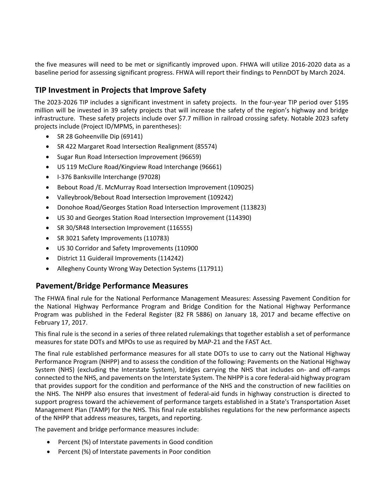the five measures will need to be met or significantly improved upon. FHWA will utilize 2016-2020 data as a baseline period for assessing significant progress. FHWA will report their findings to PennDOT by March 2024.

# **TIP Investment in Projects that Improve Safety**

The 2023-2026 TIP includes a significant investment in safety projects. In the four-year TIP period over \$195 million will be invested in 39 safety projects that will increase the safety of the region's highway and bridge infrastructure. These safety projects include over \$7.7 million in railroad crossing safety. Notable 2023 safety projects include (Project ID/MPMS, in parentheses):

- SR 28 Goheenville Dip (69141)
- SR 422 Margaret Road Intersection Realignment (85574)
- Sugar Run Road Intersection Improvement (96659)
- US 119 McClure Road/Kingview Road Interchange (96661)
- I-376 Banksville Interchange (97028)
- Bebout Road /E. McMurray Road Intersection Improvement (109025)
- Valleybrook/Bebout Road Intersection Improvement (109242)
- Donohoe Road/Georges Station Road Intersection Improvement (113823)
- US 30 and Georges Station Road Intersection Improvement (114390)
- SR 30/SR48 Intersection Improvement (116555)
- SR 3021 Safety Improvements (110783)
- US 30 Corridor and Safety Improvements (110900
- District 11 Guiderail Improvements (114242)
- Allegheny County Wrong Way Detection Systems (117911)

## **Pavement/Bridge Performance Measures**

The FHWA final rule for the National Performance Management Measures: Assessing Pavement Condition for the National Highway Performance Program and Bridge Condition for the National Highway Performance Program was published in the Federal Register (82 FR 5886) on January 18, 2017 and became effective on February 17, 2017.

This final rule is the second in a series of three related rulemakings that together establish a set of performance measures for state DOTs and MPOs to use as required by MAP-21 and the FAST Act.

The final rule established performance measures for all state DOTs to use to carry out the National Highway Performance Program (NHPP) and to assess the condition of the following: Pavements on the National Highway System (NHS) (excluding the Interstate System), bridges carrying the NHS that includes on- and off-ramps connected to the NHS, and pavements on the Interstate System. The NHPP is a core federal-aid highway program that provides support for the condition and performance of the NHS and the construction of new facilities on the NHS. The NHPP also ensures that investment of federal-aid funds in highway construction is directed to support progress toward the achievement of performance targets established in a State's Transportation Asset Management Plan (TAMP) for the NHS. This final rule establishes regulations for the new performance aspects of the NHPP that address measures, targets, and reporting.

The pavement and bridge performance measures include:

- Percent (%) of Interstate pavements in Good condition
- Percent (%) of Interstate pavements in Poor condition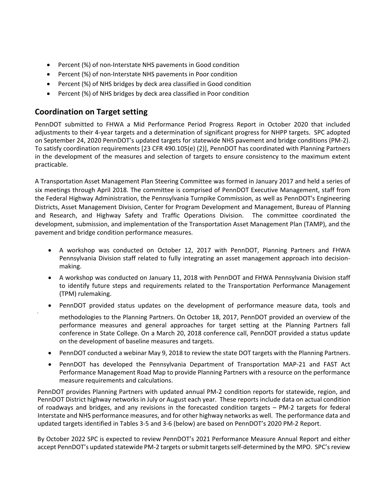- Percent (%) of non-Interstate NHS pavements in Good condition
- Percent (%) of non-Interstate NHS pavements in Poor condition
- Percent (%) of NHS bridges by deck area classified in Good condition
- Percent (%) of NHS bridges by deck area classified in Poor condition

## **Coordination on Target setting**

PennDOT submitted to FHWA a Mid Performance Period Progress Report in October 2020 that included adjustments to their 4-year targets and a determination of significant progress for NHPP targets. SPC adopted on September 24, 2020 PennDOT's updated targets for statewide NHS pavement and bridge conditions (PM-2). To satisfy coordination requirements [23 CFR 490.105(e) (2)], PennDOT has coordinated with Planning Partners in the development of the measures and selection of targets to ensure consistency to the maximum extent practicable.

A Transportation Asset Management Plan Steering Committee was formed in January 2017 and held a series of six meetings through April 2018. The committee is comprised of PennDOT Executive Management, staff from the Federal Highway Administration, the Pennsylvania Turnpike Commission, as well as PennDOT's Engineering Districts, Asset Management Division, Center for Program Development and Management, Bureau of Planning and Research, and Highway Safety and Traffic Operations Division. The committee coordinated the development, submission, and implementation of the Transportation Asset Management Plan (TAMP), and the pavement and bridge condition performance measures.

- A workshop was conducted on October 12, 2017 with PennDOT, Planning Partners and FHWA Pennsylvania Division staff related to fully integrating an asset management approach into decisionmaking.
- A workshop was conducted on January 11, 2018 with PennDOT and FHWA Pennsylvania Division staff to identify future steps and requirements related to the Transportation Performance Management (TPM) rulemaking.
- PennDOT provided status updates on the development of performance measure data, tools and

methodologies to the Planning Partners. On October 18, 2017, PennDOT provided an overview of the performance measures and general approaches for target setting at the Planning Partners fall conference in State College. On a March 20, 2018 conference call, PennDOT provided a status update on the development of baseline measures and targets.

- PennDOT conducted a webinar May 9, 2018 to review the state DOT targets with the Planning Partners.
- PennDOT has developed the Pennsylvania Department of Transportation MAP-21 and FAST Act Performance Management Road Map to provide Planning Partners with a resource on the performance measure requirements and calculations.

PennDOT provides Planning Partners with updated annual PM-2 condition reports for statewide, region, and PennDOT District highway networks in July or August each year. These reports include data on actual condition of roadways and bridges, and any revisions in the forecasted condition targets – PM-2 targets for federal Interstate and NHS performance measures, and for other highway networks as well. The performance data and updated targets identified in Tables 3-5 and 3-6 (below) are based on PennDOT's 2020 PM-2 Report.

By October 2022 SPC is expected to review PennDOT's 2021 Performance Measure Annual Report and either accept PennDOT's updated statewide PM-2 targets or submit targets self-determined by the MPO. SPC's review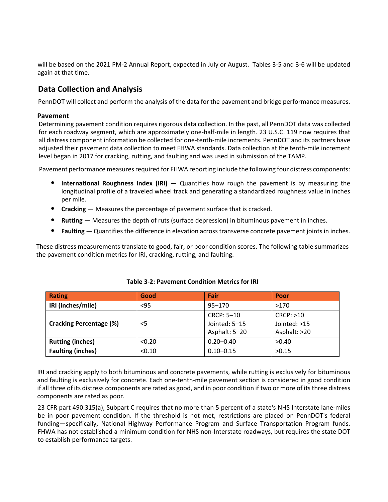will be based on the 2021 PM-2 Annual Report, expected in July or August. Tables 3-5 and 3-6 will be updated again at that time.

# **Data Collection and Analysis**

PennDOT will collect and perform the analysis of the data for the pavement and bridge performance measures.

#### **Pavement**

Determining pavement condition requires rigorous data collection. In the past, all PennDOT data was collected for each roadway segment, which are approximately one-half-mile in length. 23 U.S.C. 119 now requires that all distress component information be collected for one-tenth-mile increments. PennDOT and its partners have adjusted their pavement data collection to meet FHWA standards. Data collection at the tenth-mile increment level began in 2017 for cracking, rutting, and faulting and was used in submission of the TAMP.

Pavement performance measures required for FHWA reporting include the following four distress components:

- **International Roughness Index (IRI)** Quantifies how rough the pavement is by measuring the longitudinal profile of a traveled wheel track and generating a standardized roughness value in inches per mile.
- **Cracking** Measures the percentage of pavement surface that is cracked.
- **Rutting** Measures the depth of ruts (surface depression) in bituminous pavement in inches.
- **Faulting** Quantifies the difference in elevation across transverse concrete pavement joints in inches.

These distress measurements translate to good, fair, or poor condition scores. The following table summarizes the pavement condition metrics for IRI, cracking, rutting, and faulting.

| Rating                         | Good   | Fair                                         | Poor                                      |
|--------------------------------|--------|----------------------------------------------|-------------------------------------------|
| IRI (inches/mile)              | $95$   | $95 - 170$                                   | >170                                      |
| <b>Cracking Percentage (%)</b> | <5     | CRCP: 5-10<br>Jointed: 5-15<br>Asphalt: 5-20 | CRCP: >10<br>Jointed: >15<br>Asphalt: >20 |
| <b>Rutting (inches)</b>        | < 0.20 | $0.20 - 0.40$                                | >0.40                                     |
| <b>Faulting (inches)</b>       | < 0.10 | $0.10 - 0.15$                                | >0.15                                     |

#### **Table 3-2: Pavement Condition Metrics for IRI**

IRI and cracking apply to both bituminous and concrete pavements, while rutting is exclusively for bituminous and faulting is exclusively for concrete. Each one-tenth-mile pavement section is considered in good condition if all three of its distress components are rated as good, and in poor condition if two or more of its three distress components are rated as poor.

23 CFR part 490.315(a), Subpart C requires that no more than 5 percent of a state's NHS Interstate lane-miles be in poor pavement condition. If the threshold is not met, restrictions are placed on PennDOT's federal funding—specifically, National Highway Performance Program and Surface Transportation Program funds. FHWA has not established a minimum condition for NHS non-Interstate roadways, but requires the state DOT to establish performance targets.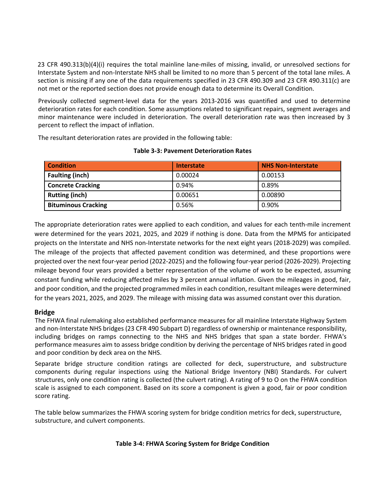23 CFR 490.313(b)(4)(i) requires the total mainline lane-miles of missing, invalid, or unresolved sections for Interstate System and non-Interstate NHS shall be limited to no more than 5 percent of the total lane miles. A section is missing if any one of the data requirements specified in 23 CFR 490.309 and 23 CFR 490.311(c) are not met or the reported section does not provide enough data to determine its Overall Condition.

Previously collected segment-level data for the years 2013-2016 was quantified and used to determine deterioration rates for each condition. Some assumptions related to significant repairs, segment averages and minor maintenance were included in deterioration. The overall deterioration rate was then increased by 3 percent to reflect the impact of inflation.

The resultant deterioration rates are provided in the following table:

| <b>Condition</b>           | <b>Interstate</b> | <b>NHS Non-Interstate</b> |
|----------------------------|-------------------|---------------------------|
| <b>Faulting (inch)</b>     | 0.00024           | 0.00153                   |
| <b>Concrete Cracking</b>   | 0.94%             | 0.89%                     |
| <b>Rutting (inch)</b>      | 0.00651           | 0.00890                   |
| <b>Bituminous Cracking</b> | 0.56%             | 0.90%                     |

### **Table 3-3: Pavement Deterioration Rates**

The appropriate deterioration rates were applied to each condition, and values for each tenth-mile increment were determined for the years 2021, 2025, and 2029 if nothing is done. Data from the MPMS for anticipated projects on the Interstate and NHS non-Interstate networks for the next eight years (2018-2029) was compiled. The mileage of the projects that affected pavement condition was determined, and these proportions were projected over the next four-year period (2022-2025) and the following four-year period (2026-2029). Projecting mileage beyond four years provided a better representation of the volume of work to be expected, assuming constant funding while reducing affected miles by 3 percent annual inflation. Given the mileages in good, fair, and poor condition, and the projected programmed miles in each condition, resultant mileages were determined for the years 2021, 2025, and 2029. The mileage with missing data was assumed constant over this duration.

## **Bridge**

The FHWA final rulemaking also established performance measures for all mainline Interstate Highway System and non-Interstate NHS bridges (23 CFR 490 Subpart D) regardless of ownership or maintenance responsibility, including bridges on ramps connecting to the NHS and NHS bridges that span a state border. FHWA's performance measures aim to assess bridge condition by deriving the percentage of NHS bridges rated in good and poor condition by deck area on the NHS.

Separate bridge structure condition ratings are collected for deck, superstructure, and substructure components during regular inspections using the National Bridge Inventory (NBI) Standards. For culvert structures, only one condition rating is collected (the culvert rating). A rating of 9 to O on the FHWA condition scale is assigned to each component. Based on its score a component is given a good, fair or poor condition score rating.

The table below summarizes the FHWA scoring system for bridge condition metrics for deck, superstructure, substructure, and culvert components.

## **Table 3-4: FHWA Scoring System for Bridge Condition**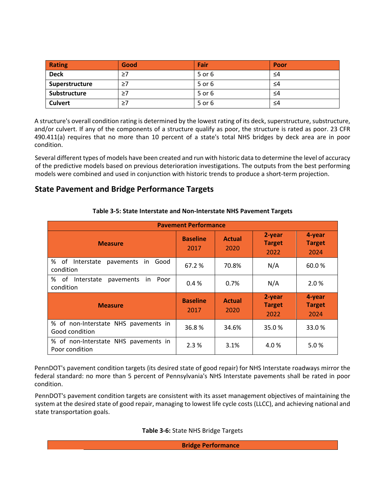| Rating         | Good     | Fair   | Poor |
|----------------|----------|--------|------|
| <b>Deck</b>    | $\geq 7$ | 5 or 6 | ≤4   |
| Superstructure | $\geq 7$ | 5 or 6 | ≤4   |
| Substructure   | $\geq 7$ | 5 or 6 | ≤4   |
| <b>Culvert</b> | $\geq 7$ | 5 or 6 | ≤4   |

A structure's overall condition rating is determined by the lowest rating of its deck, superstructure, substructure, and/or culvert. If any of the components of a structure qualify as poor, the structure is rated as poor. 23 CFR 490.411(a) requires that no more than 10 percent of a state's total NHS bridges by deck area are in poor condition.

Several different types of models have been created and run with historic data to determine the level of accuracy of the predictive models based on previous deterioration investigations. The outputs from the best performing models were combined and used in conjunction with historic trends to produce a short-term projection.

## **State Pavement and Bridge Performance Targets**

|                                                             | <b>Pavement Performance</b> |                       |                                 |                                 |
|-------------------------------------------------------------|-----------------------------|-----------------------|---------------------------------|---------------------------------|
| <b>Measure</b>                                              | <b>Baseline</b><br>2017     | <b>Actual</b><br>2020 | 2-year<br><b>Target</b><br>2022 | 4-year<br><b>Target</b><br>2024 |
| % of<br>Interstate<br>pavements<br>Good<br>in.<br>condition | 67.2 %                      | 70.8%                 | N/A                             | 60.0%                           |
| % of Interstate<br>pavements<br>Poor<br>in.<br>condition    | 0.4%                        | 0.7%                  | N/A                             | 2.0%                            |
| <b>Measure</b>                                              | <b>Baseline</b><br>2017     | <b>Actual</b><br>2020 | 2-year<br><b>Target</b><br>2022 | 4-year<br><b>Target</b><br>2024 |
| % of non-Interstate NHS pavements in<br>Good condition      | 36.8%                       | 34.6%                 | 35.0%                           | 33.0%                           |
| % of non-Interstate NHS pavements in<br>Poor condition      | 2.3%                        | 3.1%                  | 4.0%                            | 5.0%                            |

#### **Table 3-5: State Interstate and Non-Interstate NHS Pavement Targets**

PennDOT's pavement condition targets (its desired state of good repair) for NHS Interstate roadways mirror the federal standard: no more than 5 percent of Pennsylvania's NHS Interstate pavements shall be rated in poor condition.

PennDOT's pavement condition targets are consistent with its asset management objectives of maintaining the system at the desired state of good repair, managing to lowest life cycle costs (LLCC), and achieving national and state transportation goals.

**Table 3-6:** State NHS Bridge Targets

**Bridge Performance**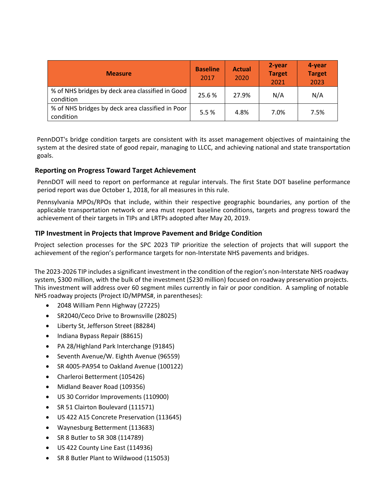| <b>Measure</b>                                                | <b>Baseline</b><br>2017 | <b>Actual</b><br>2020 | 2-year<br><b>Target</b><br>2021 | 4-year<br><b>Target</b><br>2023 |
|---------------------------------------------------------------|-------------------------|-----------------------|---------------------------------|---------------------------------|
| % of NHS bridges by deck area classified in Good<br>condition | 25.6%                   | 27.9%                 | N/A                             | N/A                             |
| % of NHS bridges by deck area classified in Poor<br>condition | 5.5%                    | 4.8%                  | 7.0%                            | 7.5%                            |

PennDOT's bridge condition targets are consistent with its asset management objectives of maintaining the system at the desired state of good repair, managing to LLCC, and achieving national and state transportation goals.

### **Reporting on Progress Toward Target Achievement**

PennDOT will need to report on performance at regular intervals. The first State DOT baseline performance period report was due October 1, 2018, for all measures in this rule.

Pennsylvania MPOs/RPOs that include, within their respective geographic boundaries, any portion of the applicable transportation network or area must report baseline conditions, targets and progress toward the achievement of their targets in TIPs and LRTPs adopted after May 20, 2019.

### **TIP Investment in Projects that Improve Pavement and Bridge Condition**

Project selection processes for the SPC 2023 TIP prioritize the selection of projects that will support the achievement of the region's performance targets for non-Interstate NHS pavements and bridges.

The 2023-2026 TIP includes a significant investment in the condition of the region's non-Interstate NHS roadway system, \$300 million, with the bulk of the investment (\$230 million) focused on roadway preservation projects. This investment will address over 60 segment miles currently in fair or poor condition. A sampling of notable NHS roadway projects (Project ID/MPMS#, in parentheses):

- 2048 William Penn Highway (27225)
- SR2040/Ceco Drive to Brownsville (28025)
- Liberty St, Jefferson Street (88284)
- Indiana Bypass Repair (88615)
- PA 28/Highland Park Interchange (91845)
- Seventh Avenue/W. Eighth Avenue (96559)
- SR 4005-PA954 to Oakland Avenue (100122)
- Charleroi Betterment (105426)
- Midland Beaver Road (109356)
- US 30 Corridor Improvements (110900)
- SR 51 Clairton Boulevard (111571)
- US 422 A15 Concrete Preservation (113645)
- Waynesburg Betterment (113683)
- SR 8 Butler to SR 308 (114789)
- US 422 County Line East (114936)
- SR 8 Butler Plant to Wildwood (115053)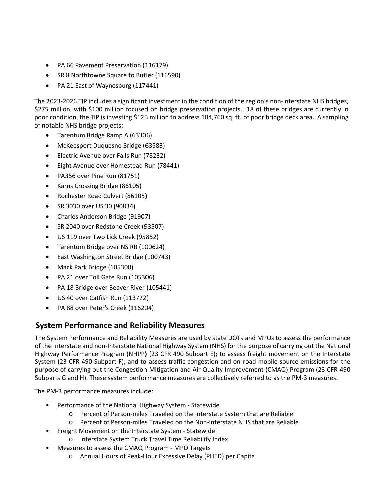- PA 66 Pavement Preservation (116179)
- SR 8 Northtowne Square to Butler (116590)
- PA 21 East of Waynesburg (117441)

The 2023-2026 TIP includes a significant investment in the condition of the region's non-Interstate NHS bridges, \$275 million, with \$100 million focused on bridge preservation projects. 18 of these bridges are currently in poor condition, the TIP is investing \$125 million to address 184,760 sq. ft. of poor bridge deck area. A sampling of notable NHS bridge projects:

- Tarentum Bridge Ramp A (63306)
- McKeesport Duquesne Bridge (63583)
- Electric Avenue over Falls Run (78232)
- Eight Avenue over Homestead Run (78441)
- PA356 over Pine Run (81751)
- Karns Crossing Bridge (86105)
- Rochester Road Culvert (86105)
- SR 3030 over US 30 (90834)
- Charles Anderson Bridge (91907)
- SR 2040 over Redstone Creek (93507)
- US 119 over Two Lick Creek (95852)
- Tarentum Bridge over NS RR (100624)
- East Washington Street Bridge (100743)
- Mack Park Bridge (105300)
- PA 21 over Toll Gate Run (105306)
- PA 18 Bridge over Beaver River (105441)
- US 40 over Catfish Run (113722)
- PA 88 over Peter's Creek (116204)

## **System Performance and Reliability Measures**

The System Performance and Reliability Measures are used by state DOTs and MPOs to assess the performance of the Interstate and non-Interstate National Highway System (NHS) for the purpose of carrying out the National Highway Performance Program (NHPP) (23 CFR 490 Subpart E); to assess freight movement on the Interstate System (23 CFR 490 Subpart F); and to assess traffic congestion and on-road mobile source emissions for the purpose of carrying out the Congestion Mitigation and Air Quality Improvement (CMAQ) Program (23 CFR 490 Subparts G and H). These system performance measures are collectively referred to as the PM-3 measures.

The PM-3 performance measures include:

- Performance of the National Highway System Statewide
	- o Percent of Person-miles Traveled on the Interstate System that are Reliable
	- o Percent of Person-miles Traveled on the Non-Interstate NHS that are Reliable
- Freight Movement on the Interstate System Statewide
	- o Interstate System Truck Travel Time Reliability Index
	- Measures to assess the CMAQ Program MPO Targets
		- o Annual Hours of Peak-Hour Excessive Delay (PHED) per Capita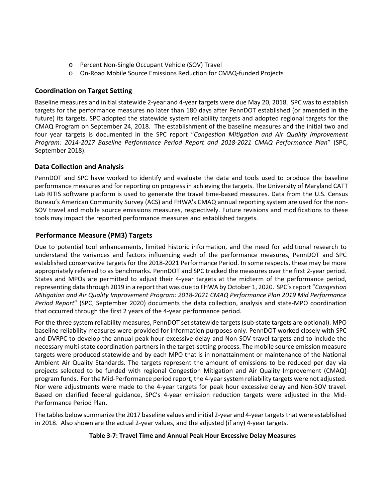- o Percent Non-Single Occupant Vehicle (SOV) Travel
- o On-Road Mobile Source Emissions Reduction for CMAQ-funded Projects

### **Coordination on Target Setting**

Baseline measures and initial statewide 2-year and 4-year targets were due May 20, 2018. SPC was to establish targets for the performance measures no later than 180 days after PennDOT established (or amended in the future) its targets. SPC adopted the statewide system reliability targets and adopted regional targets for the CMAQ Program on September 24, 2018. The establishment of the baseline measures and the initial two and four year targets is documented in the SPC report "*Congestion Mitigation and Air Quality Improvement Program: 2014-2017 Baseline Performance Period Report and 2018-2021 CMAQ Performance Plan*" (SPC, September 2018).

### **Data Collection and Analysis**

PennDOT and SPC have worked to identify and evaluate the data and tools used to produce the baseline performance measures and for reporting on progress in achieving the targets. The University of Maryland CATT Lab RITIS software platform is used to generate the travel time-based measures. Data from the U.S. Census Bureau's American Community Survey (ACS) and FHWA's CMAQ annual reporting system are used for the non-SOV travel and mobile source emissions measures, respectively. Future revisions and modifications to these tools may impact the reported performance measures and established targets.

## **Performance Measure (PM3) Targets**

Due to potential tool enhancements, limited historic information, and the need for additional research to understand the variances and factors influencing each of the performance measures, PennDOT and SPC established conservative targets for the 2018-2021 Performance Period. In some respects, these may be more appropriately referred to as benchmarks. PennDOT and SPC tracked the measures over the first 2-year period. States and MPOs are permitted to adjust their 4-year targets at the midterm of the performance period, representing data through 2019 in a report that was due to FHWA by October 1, 2020. SPC's report "*Congestion Mitigation and Air Quality Improvement Program: 2018-2021 CMAQ Performance Plan 2019 Mid Performance Period Report*" (SPC, September 2020) documents the data collection, analysis and state-MPO coordination that occurred through the first 2 years of the 4-year performance period.

For the three system reliability measures, PennDOT set statewide targets (sub-state targets are optional). MPO baseline reliability measures were provided for information purposes only. PennDOT worked closely with SPC and DVRPC to develop the annual peak hour excessive delay and Non-SOV travel targets and to include the necessary multi-state coordination partners in the target-setting process. The mobile source emission measure targets were produced statewide and by each MPO that is in nonattainment or maintenance of the National Ambient Air Quality Standards. The targets represent the amount of emissions to be reduced per day via projects selected to be funded with regional Congestion Mitigation and Air Quality Improvement (CMAQ) program funds. For the Mid-Performance period report, the 4-year system reliability targets were not adjusted. Nor were adjustments were made to the 4-year targets for peak hour excessive delay and Non-SOV travel. Based on clarified federal guidance, SPC's 4-year emission reduction targets were adjusted in the Mid-Performance Period Plan.

The tables below summarize the 2017 baseline values and initial 2-year and 4-year targets that were established in 2018. Also shown are the actual 2-year values, and the adjusted (if any) 4-year targets.

#### **Table 3-7: Travel Time and Annual Peak Hour Excessive Delay Measures**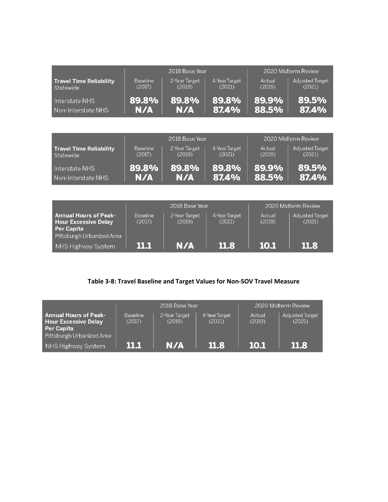|                                |                 | 2018 Base Year |               |        | 2020 Midterm Review    |
|--------------------------------|-----------------|----------------|---------------|--------|------------------------|
| <b>Travel Time Reliability</b> | <b>Baseline</b> | 2-Year Target  | 4-Year Target | Actual | <b>Adjusted Target</b> |
| Statewide                      | (2017)          | (2019)         | (2021)        | (2019) | (2021)                 |
| Interstate NHS                 | 89.8%           | 89.8%          | 89.8%         | 89.9%  | 89.5%                  |
| Non-Interstate NHS             | N/A             | N/A            | 87.4%         | 88.5%  | 87.4%                  |

|                         |                 | 2018 Base Year |               |        | 2020 Midterm Review    |
|-------------------------|-----------------|----------------|---------------|--------|------------------------|
| Travel Time Reliability | <b>Baseline</b> | 2-Year Target  | 4-Year Target | Actual | <b>Adjusted Target</b> |
| Statewide               | (2017)          | (2019)         | (2021)        | (2019) | (2021)                 |
| Interstate NHS          | 89.8%           | 89.8%          | 89.8%         | 89.9%  | 89.5%                  |
| Non-Interstate NHS      | N/A             | N/A            | 87.4%         | 88.5%  | 87.4%                  |

|                                                                           |                           | 2018 Base Year          |                        |                  | 2020 Midterm Review              |
|---------------------------------------------------------------------------|---------------------------|-------------------------|------------------------|------------------|----------------------------------|
| <b>Annual Hours of Peak-</b><br><b>Hour Excessive Delay</b><br>Per Capita | <b>Baseline</b><br>(2017) | 2-Year Target<br>(2019) | 4-YearTarget<br>(2021) | Actual<br>(2019) | <b>Adjusted Target</b><br>(2021) |
| Pittsburgh Urbanized Area                                                 |                           |                         |                        |                  |                                  |
| NHS Highway System                                                        | ш                         | N/A                     | <b>11.8</b>            | 10.1             | 11.8                             |

## **Table 3-8: Travel Baseline and Target Values for Non-SOV Travel Measure**

|                                                                                                        |                           | 2018 Base Year          |                        |                  | 2020 Midterm Review              |
|--------------------------------------------------------------------------------------------------------|---------------------------|-------------------------|------------------------|------------------|----------------------------------|
| <b>Annual Hours of Peak-</b><br><b>Hour Excessive Delay</b><br>Per Capita<br>Pittsburgh Urbanized Area | <b>Baseline</b><br>(2017) | 2-Year Target<br>(2019) | 4-YearTarget<br>(2021) | Actual<br>(2019) | <b>Adjusted Target</b><br>(2021) |
| NHS Highway System                                                                                     | n Frank                   | N/A                     | -11 R                  | 10.1             | <b>11.8</b>                      |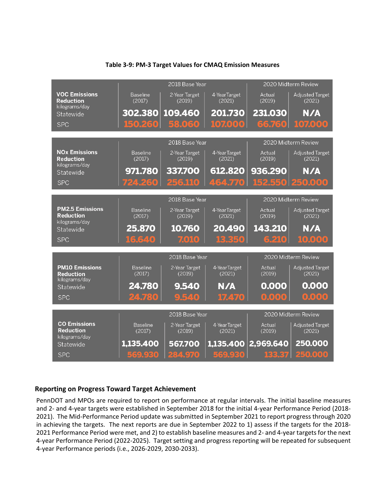|                                                             |                           | 2018 Base Year                            |                        |                  | 2020 Midterm Review                                     |
|-------------------------------------------------------------|---------------------------|-------------------------------------------|------------------------|------------------|---------------------------------------------------------|
| <b>VOC Emissions</b><br><b>Reduction</b><br>kilograms/day   | <b>Baseline</b><br>(2017) | 2-Year Target<br>(2019)                   | 4-YearTarget<br>(2021) | Actual<br>(2019) | <b>Adjusted Target</b><br>(2021)                        |
| Statewide                                                   | 302.380                   | 109.460                                   | 201.730                | 231.030          | N/A                                                     |
| <b>SPC</b>                                                  | 150.260                   | 58.060                                    | 107.000                | 66.760           | 107.000                                                 |
|                                                             |                           | 2018 Base Year                            |                        |                  | 2020 Midterm Review                                     |
| <b>NO<sub>x</sub></b> Emissions<br><b>Reduction</b>         | <b>Baseline</b><br>(2017) | 2-Year Target<br>(2019)                   | 4-YearTarget<br>(2021) | Actual<br>(2019) | <b>Adjusted Target</b><br>(2021)                        |
| kilograms/day<br>Statewide                                  | 971.780                   | 337.700                                   | 612.820                | 936.290          | N/A                                                     |
| <b>SPC</b>                                                  | 724.260                   | 256.110                                   | 464.770                |                  | 152,550 250,000                                         |
|                                                             |                           | 2018 Base Year                            |                        |                  | 2020 Midterm Review                                     |
| <b>PM2.5 Emissions</b><br><b>Reduction</b><br>kilograms/day | <b>Baseline</b><br>(2017) | 2-Year Target<br>(2019)                   | 4-YearTarget<br>(2021) | Actual<br>(2019) | <b>Adjusted Target</b><br>(2021)                        |
|                                                             |                           |                                           |                        |                  |                                                         |
| Statewide                                                   | 25.870                    | 10.760                                    | 20.490                 | 143.210          | N/A                                                     |
| <b>SPC</b>                                                  | 16,640                    | 7.010                                     | 13.350                 | 6.210            | 10,000                                                  |
|                                                             |                           |                                           |                        |                  |                                                         |
| <b>PM10 Emissions</b><br><b>Reduction</b>                   | <b>Baseline</b><br>(2017) | 2018 Base Year<br>2-Year Target<br>(2019) | 4-YearTarget<br>(2021) | Actual<br>(2019) | 2020 Midterm Review<br><b>Adjusted Target</b><br>(2021) |
| kilograms/day<br>Statewide                                  | 24.780                    | 9.540                                     | N/A                    | 0.000            | 0.000                                                   |
| <b>SPC</b>                                                  | 24.780                    | 9.540                                     | 17.470                 | 0.000            | 0.000                                                   |
|                                                             |                           |                                           |                        |                  |                                                         |
| <b>CO Emissions</b><br><b>Reduction</b>                     | <b>Baseline</b><br>(2017) | 2018 Base Year<br>2-Year Target<br>(2019) | 4-YearTarget<br>(2021) | Actual<br>(2019) | 2020 Midterm Review<br><b>Adjusted Target</b><br>(2021) |
| kilograms/day<br>Statewide                                  | 1,135.400                 | 567.700                                   | 1,135.400              | 2,969.640        | 250.000                                                 |

### **Table 3-9: PM-3 Target Values for CMAQ Emission Measures**

## **Reporting on Progress Toward Target Achievement**

PennDOT and MPOs are required to report on performance at regular intervals. The initial baseline measures and 2- and 4-year targets were established in September 2018 for the initial 4-year Performance Period (2018- 2021). The Mid-Performance Period update was submitted in September 2021 to report progress through 2020 in achieving the targets. The next reports are due in September 2022 to 1) assess if the targets for the 2018- 2021 Performance Period were met, and 2) to establish baseline measures and 2- and 4-year targets for the next 4-year Performance Period (2022-2025). Target setting and progress reporting will be repeated for subsequent 4-year Performance periods (i.e., 2026-2029, 2030-2033).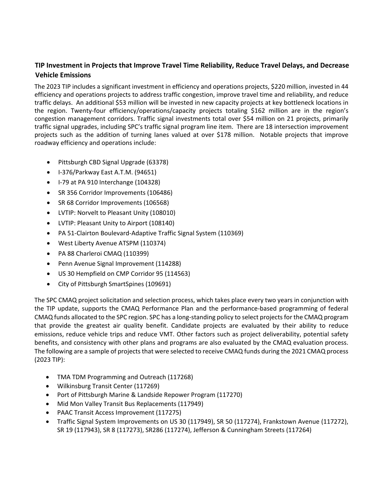## **TIP Investment in Projects that Improve Travel Time Reliability, Reduce Travel Delays, and Decrease Vehicle Emissions**

The 2023 TIP includes a significant investment in efficiency and operations projects, \$220 million, invested in 44 efficiency and operations projects to address traffic congestion, improve travel time and reliability, and reduce traffic delays. An additional \$53 million will be invested in new capacity projects at key bottleneck locations in the region. Twenty-four efficiency/operations/capacity projects totaling \$162 million are in the region's congestion management corridors. Traffic signal investments total over \$54 million on 21 projects, primarily traffic signal upgrades, including SPC's traffic signal program line item. There are 18 intersection improvement projects such as the addition of turning lanes valued at over \$178 million. Notable projects that improve roadway efficiency and operations include:

- Pittsburgh CBD Signal Upgrade (63378)
- I-376/Parkway East A.T.M. (94651)
- I-79 at PA 910 Interchange (104328)
- SR 356 Corridor Improvements (106486)
- SR 68 Corridor Improvements (106568)
- LVTIP: Norvelt to Pleasant Unity (108010)
- LVTIP: Pleasant Unity to Airport (108140)
- PA 51-Clairton Boulevard-Adaptive Traffic Signal System (110369)
- West Liberty Avenue ATSPM (110374)
- PA 88 Charleroi CMAQ (110399)
- Penn Avenue Signal Improvement (114288)
- US 30 Hempfield on CMP Corridor 95 (114563)
- City of Pittsburgh SmartSpines (109691)

The SPC CMAQ project solicitation and selection process, which takes place every two years in conjunction with the TIP update, supports the CMAQ Performance Plan and the performance-based programming of federal CMAQ funds allocated to the SPC region. SPC has a long-standing policy to select projects for the CMAQ program that provide the greatest air quality benefit. Candidate projects are evaluated by their ability to reduce emissions, reduce vehicle trips and reduce VMT. Other factors such as project deliverability, potential safety benefits, and consistency with other plans and programs are also evaluated by the CMAQ evaluation process. The following are a sample of projects that were selected to receive CMAQ funds during the 2021 CMAQ process (2023 TIP):

- TMA TDM Programming and Outreach (117268)
- Wilkinsburg Transit Center (117269)
- Port of Pittsburgh Marine & Landside Repower Program (117270)
- Mid Mon Valley Transit Bus Replacements (117949)
- PAAC Transit Access Improvement (117275)
- Traffic Signal System Improvements on US 30 (117949), SR 50 (117274), Frankstown Avenue (117272), SR 19 (117943), SR 8 (117273), SR286 (117274), Jefferson & Cunningham Streets (117264)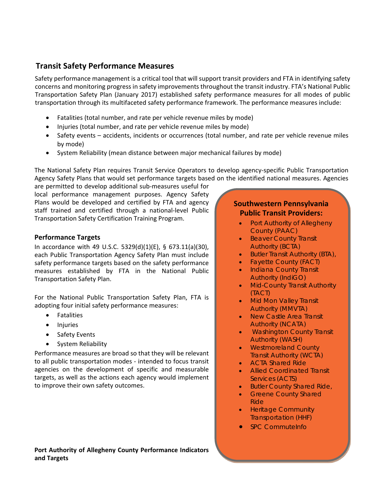## **Transit Safety Performance Measures**

Safety performance management is a critical tool that will support transit providers and FTA in identifying safety concerns and monitoring progress in safety improvements throughout the transit industry. FTA's National Public Transportation Safety Plan (January 2017) established safety performance measures for all modes of public transportation through its multifaceted safety performance framework. The performance measures include:

- Fatalities (total number, and rate per vehicle revenue miles by mode)
- Injuries (total number, and rate per vehicle revenue miles by mode)
- Safety events accidents, incidents or occurrences (total number, and rate per vehicle revenue miles by mode)
- System Reliability (mean distance between major mechanical failures by mode)

The National Safety Plan requires Transit Service Operators to develop agency-specific Public Transportation Agency Safety Plans that would set performance targets based on the identified national measures. Agencies

are permitted to develop additional sub-measures useful for local performance management purposes. Agency Safety Plans would be developed and certified by FTA and agency staff trained and certified through a national-level Public Transportation Safety Certification Training Program.

## **Performance Targets**

In accordance with 49 U.S.C. 5329(d)(1)(E), § 673.11(a)(30), each Public Transportation Agency Safety Plan must include safety performance targets based on the safety performance measures established by FTA in the National Public Transportation Safety Plan.

For the National Public Transportation Safety Plan, FTA is adopting four initial safety performance measures:

- Fatalities
- Injuries
- Safety Events
- System Reliability

Performance measures are broad so that they will be relevant to all public transportation modes - intended to focus transit agencies on the development of specific and measurable targets, as well as the actions each agency would implement to improve their own safety outcomes.

#### **Port Authority of Allegheny County Performance Indicators and Targets**

## **Southwestern Pennsylvania Public Transit Providers:**

- Port Authority of Allegheny County (PAAC)
- Beaver County Transit Authority (BCTA)
- Butler Transit Authority (BTA),
- Fayette County (FACT)
- Indiana County Transit Authority (IndiGO)
- Mid-County Transit Authority (TACT)
- Mid Mon Valley Transit Authority (MMVTA)
- New Castle Area Transit Authority (NCATA)
- Washington County Transit Authority (WASH)
- Westmoreland County Transit Authority (WCTA)
- ACTA Shared Ride
- Allied Coordinated Transit Services (ACTS)
- Butler County Shared Ride,
- Greene County Shared Ride
- Heritage Community Transportation (HHF)
- SPC CommuteInfo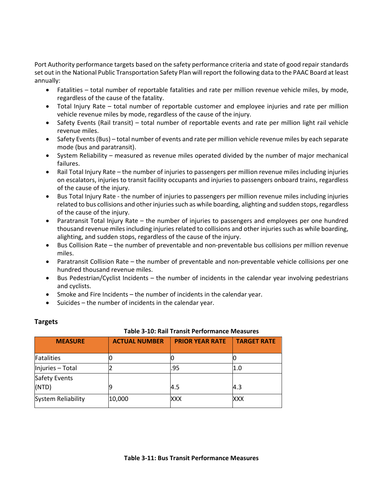Port Authority performance targets based on the safety performance criteria and state of good repair standards set out in the National Public Transportation Safety Plan will report the following data to the PAAC Board at least annually:

- Fatalities total number of reportable fatalities and rate per million revenue vehicle miles, by mode, regardless of the cause of the fatality.
- Total Injury Rate total number of reportable customer and employee injuries and rate per million vehicle revenue miles by mode, regardless of the cause of the injury.
- Safety Events (Rail transit) total number of reportable events and rate per million light rail vehicle revenue miles.
- Safety Events (Bus) total number of events and rate per million vehicle revenue miles by each separate mode (bus and paratransit).
- System Reliability measured as revenue miles operated divided by the number of major mechanical failures.
- Rail Total Injury Rate the number of injuries to passengers per million revenue miles including injuries on escalators, injuries to transit facility occupants and injuries to passengers onboard trains, regardless of the cause of the injury.
- Bus Total Injury Rate the number of injuries to passengers per million revenue miles including injuries related to bus collisions and other injuries such as while boarding, alighting and sudden stops, regardless of the cause of the injury.
- Paratransit Total Injury Rate the number of injuries to passengers and employees per one hundred thousand revenue miles including injuries related to collisions and other injuries such as while boarding, alighting, and sudden stops, regardless of the cause of the injury.
- Bus Collision Rate the number of preventable and non-preventable bus collisions per million revenue miles.
- Paratransit Collision Rate the number of preventable and non-preventable vehicle collisions per one hundred thousand revenue miles.
- Bus Pedestrian/Cyclist Incidents the number of incidents in the calendar year involving pedestrians and cyclists.
- Smoke and Fire Incidents the number of incidents in the calendar year.
- Suicides the number of incidents in the calendar year.

#### **Table 3-10: Rail Transit Performance Measures**

| <b>MEASURE</b>            | <b>ACTUAL NUMBER</b> | <b>PRIOR YEAR RATE</b> | <b>TARGET RATE</b> |
|---------------------------|----------------------|------------------------|--------------------|
| Fatalities                |                      |                        |                    |
| Injuries - Total          |                      | .95                    | l1.0               |
| Safety Events             |                      |                        |                    |
| (NTD)                     |                      | 4.5                    | 4.3                |
| <b>System Reliability</b> | 10,000               | XXX                    | XXX                |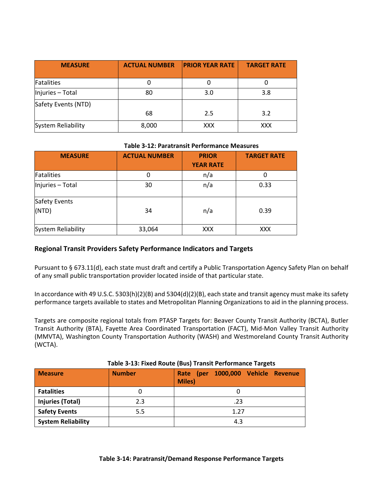| <b>MEASURE</b>            | <b>ACTUAL NUMBER</b> | <b>PRIOR YEAR RATE</b> | <b>TARGET RATE</b> |
|---------------------------|----------------------|------------------------|--------------------|
| Fatalities                |                      |                        |                    |
| Injuries - Total          | 80                   | 3.0                    | 3.8                |
| Safety Events (NTD)       |                      |                        |                    |
|                           | 68                   | 2.5                    | 3.2                |
| <b>System Reliability</b> | 8,000                | <b>XXX</b>             | <b>XXX</b>         |

#### **Table 3-12: Paratransit Performance Measures**

| <b>MEASURE</b>            | <b>ACTUAL NUMBER</b> | <b>PRIOR</b><br><b>YEAR RATE</b> | <b>TARGET RATE</b> |
|---------------------------|----------------------|----------------------------------|--------------------|
| Fatalities                | 0                    | n/a                              | 0                  |
| Injuries - Total          | 30                   | n/a                              | 0.33               |
| Safety Events<br>(NTD)    | 34                   | n/a                              | 0.39               |
| <b>System Reliability</b> | 33,064               | <b>XXX</b>                       | <b>XXX</b>         |

## **Regional Transit Providers Safety Performance Indicators and Targets**

Pursuant to § 673.11(d), each state must draft and certify a Public Transportation Agency Safety Plan on behalf of any small public transportation provider located inside of that particular state.

In accordance with 49 U.S.C. 5303(h)(2)(B) and 5304(d)(2)(B), each state and transit agency must make its safety performance targets available to states and Metropolitan Planning Organizations to aid in the planning process.

Targets are composite regional totals from PTASP Targets for: Beaver County Transit Authority (BCTA), Butler Transit Authority (BTA), Fayette Area Coordinated Transportation (FACT), Mid-Mon Valley Transit Authority (MMVTA), Washington County Transportation Authority (WASH) and Westmoreland County Transit Authority (WCTA).

| <b>Measure</b>            | <b>Number</b> | Rate (per 1000,000 Vehicle Revenue<br><b>Miles</b> ) |  |  |  |
|---------------------------|---------------|------------------------------------------------------|--|--|--|
| <b>Fatalities</b>         |               |                                                      |  |  |  |
| <b>Injuries (Total)</b>   | 2.3           | .23                                                  |  |  |  |
| <b>Safety Events</b>      | 5.5           | 1.27                                                 |  |  |  |
| <b>System Reliability</b> |               | 4.3                                                  |  |  |  |

#### **Table 3-13: Fixed Route (Bus) Transit Performance Targets**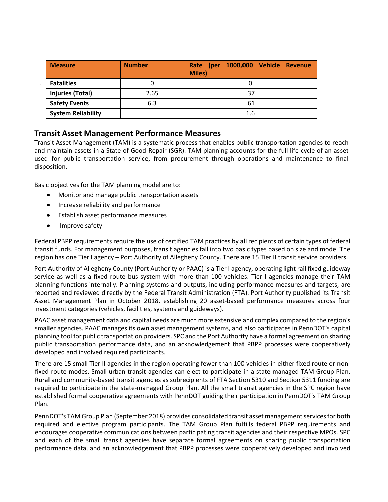| <b>Measure</b>            | <b>Number</b> | 1000,000 Vehicle Revenue<br>Rate (per<br><b>Miles)</b> |
|---------------------------|---------------|--------------------------------------------------------|
| <b>Fatalities</b>         |               |                                                        |
| <b>Injuries (Total)</b>   | 2.65          | .37                                                    |
| <b>Safety Events</b>      | 6.3           | .61                                                    |
| <b>System Reliability</b> |               | 1.6                                                    |

## **Transit Asset Management Performance Measures**

Transit Asset Management (TAM) is a systematic process that enables public transportation agencies to reach and maintain assets in a State of Good Repair (SGR). TAM planning accounts for the full life-cycle of an asset used for public transportation service, from procurement through operations and maintenance to final disposition.

Basic objectives for the TAM planning model are to:

- Monitor and manage public transportation assets
- Increase reliability and performance
- Establish asset performance measures
- Improve safety

Federal PBPP requirements require the use of certified TAM practices by all recipients of certain types of federal transit funds. For management purposes, transit agencies fall into two basic types based on size and mode. The region has one Tier I agency – Port Authority of Allegheny County. There are 15 Tier II transit service providers.

Port Authority of Allegheny County (Port Authority or PAAC) is a Tier I agency, operating light rail fixed guideway service as well as a fixed route bus system with more than 100 vehicles. Tier I agencies manage their TAM planning functions internally. Planning systems and outputs, including performance measures and targets, are reported and reviewed directly by the Federal Transit Administration (FTA). Port Authority published its Transit Asset Management Plan in October 2018, establishing 20 asset-based performance measures across four investment categories (vehicles, facilities, systems and guideways).

PAAC asset management data and capital needs are much more extensive and complex compared to the region's smaller agencies. PAAC manages its own asset management systems, and also participates in PennDOT's capital planning tool for public transportation providers. SPC and the Port Authority have a formal agreement on sharing public transportation performance data, and an acknowledgement that PBPP processes were cooperatively developed and involved required participants.

There are 15 small Tier II agencies in the region operating fewer than 100 vehicles in either fixed route or nonfixed route modes. Small urban transit agencies can elect to participate in a state-managed TAM Group Plan. Rural and community-based transit agencies as subrecipients of FTA Section 5310 and Section 5311 funding are required to participate in the state-managed Group Plan. All the small transit agencies in the SPC region have established formal cooperative agreements with PennDOT guiding their participation in PennDOT's TAM Group Plan.

PennDOT's TAM Group Plan (September 2018) provides consolidated transit asset management services for both required and elective program participants. The TAM Group Plan fulfills federal PBPP requirements and encourages cooperative communications between participating transit agencies and their respective MPOs. SPC and each of the small transit agencies have separate formal agreements on sharing public transportation performance data, and an acknowledgement that PBPP processes were cooperatively developed and involved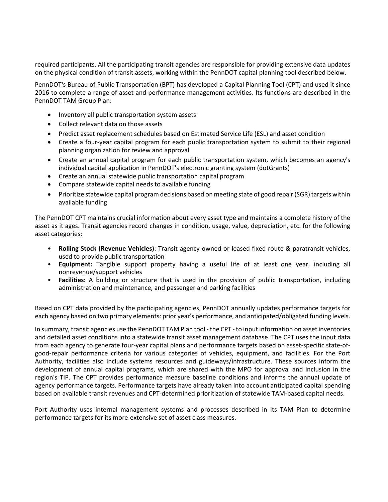required participants. All the participating transit agencies are responsible for providing extensive data updates on the physical condition of transit assets, working within the PennDOT capital planning tool described below.

PennDOT's Bureau of Public Transportation (BPT) has developed a Capital Planning Tool (CPT) and used it since 2016 to complete a range of asset and performance management activities. Its functions are described in the PennDOT TAM Group Plan:

- Inventory all public transportation system assets
- Collect relevant data on those assets
- Predict asset replacement schedules based on Estimated Service Life (ESL) and asset condition
- Create a four-year capital program for each public transportation system to submit to their regional planning organization for review and approval
- Create an annual capital program for each public transportation system, which becomes an agency's individual capital application in PennDOT's electronic granting system (dotGrants)
- Create an annual statewide public transportation capital program
- Compare statewide capital needs to available funding
- Prioritize statewide capital program decisions based on meeting state of good repair (SGR) targets within available funding

The PennDOT CPT maintains crucial information about every asset type and maintains a complete history of the asset as it ages. Transit agencies record changes in condition, usage, value, depreciation, etc. for the following asset categories:

- **Rolling Stock (Revenue Vehicles)**: Transit agency-owned or leased fixed route & paratransit vehicles, used to provide public transportation
- **Equipment:** Tangible support property having a useful life of at least one year, including all nonrevenue/support vehicles
- **Facilities:** A building or structure that is used in the provision of public transportation, including administration and maintenance, and passenger and parking facilities

Based on CPT data provided by the participating agencies, PennDOT annually updates performance targets for each agency based on two primary elements: prior year's performance, and anticipated/obligated funding levels.

In summary, transit agencies use the PennDOT TAM Plan tool - the CPT - to input information on asset inventories and detailed asset conditions into a statewide transit asset management database. The CPT uses the input data from each agency to generate four-year capital plans and performance targets based on asset-specific state-ofgood-repair performance criteria for various categories of vehicles, equipment, and facilities. For the Port Authority, facilities also include systems resources and guideways/infrastructure. These sources inform the development of annual capital programs, which are shared with the MPO for approval and inclusion in the region's TIP. The CPT provides performance measure baseline conditions and informs the annual update of agency performance targets. Performance targets have already taken into account anticipated capital spending based on available transit revenues and CPT-determined prioritization of statewide TAM-based capital needs.

Port Authority uses internal management systems and processes described in its TAM Plan to determine performance targets for its more-extensive set of asset class measures.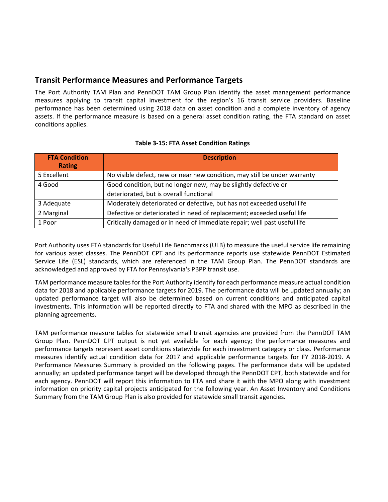## **Transit Performance Measures and Performance Targets**

The Port Authority TAM Plan and PennDOT TAM Group Plan identify the asset management performance measures applying to transit capital investment for the region's 16 transit service providers. Baseline performance has been determined using 2018 data on asset condition and a complete inventory of agency assets. If the performance measure is based on a general asset condition rating, the FTA standard on asset conditions applies.

| <b>FTA Condition</b><br><b>Rating</b> | <b>Description</b>                                                        |
|---------------------------------------|---------------------------------------------------------------------------|
| 5 Excellent                           | No visible defect, new or near new condition, may still be under warranty |
| 4 Good                                | Good condition, but no longer new, may be slightly defective or           |
|                                       | deteriorated, but is overall functional                                   |
| 3 Adequate                            | Moderately deteriorated or defective, but has not exceeded useful life    |
| 2 Marginal                            | Defective or deteriorated in need of replacement; exceeded useful life    |
| 1 Poor                                | Critically damaged or in need of immediate repair; well past useful life  |

#### **Table 3-15: FTA Asset Condition Ratings**

Port Authority uses FTA standards for Useful Life Benchmarks (ULB) to measure the useful service life remaining for various asset classes. The PennDOT CPT and its performance reports use statewide PennDOT Estimated Service Life (ESL) standards, which are referenced in the TAM Group Plan. The PennDOT standards are acknowledged and approved by FTA for Pennsylvania's PBPP transit use.

TAM performance measure tables for the Port Authority identify for each performance measure actual condition data for 2018 and applicable performance targets for 2019. The performance data will be updated annually; an updated performance target will also be determined based on current conditions and anticipated capital investments. This information will be reported directly to FTA and shared with the MPO as described in the planning agreements.

TAM performance measure tables for statewide small transit agencies are provided from the PennDOT TAM Group Plan. PennDOT CPT output is not yet available for each agency; the performance measures and performance targets represent asset conditions statewide for each investment category or class. Performance measures identify actual condition data for 2017 and applicable performance targets for FY 2018-2019. A Performance Measures Summary is provided on the following pages. The performance data will be updated annually; an updated performance target will be developed through the PennDOT CPT, both statewide and for each agency. PennDOT will report this information to FTA and share it with the MPO along with investment information on priority capital projects anticipated for the following year. An Asset Inventory and Conditions Summary from the TAM Group Plan is also provided for statewide small transit agencies.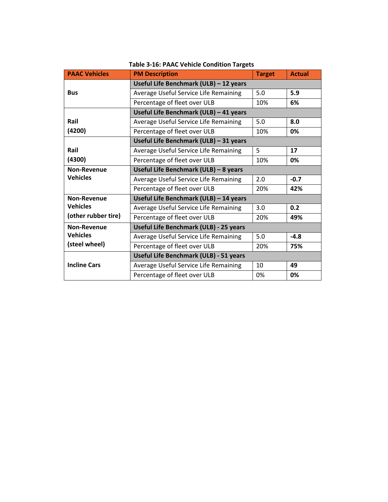| <b>PAAC Vehicles</b> | <b>PM Description</b>                  | <b>Target</b> | <b>Actual</b> |  |
|----------------------|----------------------------------------|---------------|---------------|--|
|                      | Useful Life Benchmark (ULB) - 12 years |               |               |  |
| <b>Bus</b>           | Average Useful Service Life Remaining  | 5.0           | 5.9           |  |
|                      | Percentage of fleet over ULB           | 10%           | 6%            |  |
|                      | Useful Life Benchmark (ULB) - 41 years |               |               |  |
| Rail                 | Average Useful Service Life Remaining  | 5.0           | 8.0           |  |
| (4200)               | Percentage of fleet over ULB           | 10%           | 0%            |  |
|                      | Useful Life Benchmark (ULB) - 31 years |               |               |  |
| Rail                 | Average Useful Service Life Remaining  | 5             | 17            |  |
| (4300)               | Percentage of fleet over ULB           | 10%           | 0%            |  |
| <b>Non-Revenue</b>   | Useful Life Benchmark (ULB) - 8 years  |               |               |  |
| <b>Vehicles</b>      | Average Useful Service Life Remaining  | $-0.7$<br>2.0 |               |  |
|                      | Percentage of fleet over ULB           | 20%<br>42%    |               |  |
| <b>Non-Revenue</b>   | Useful Life Benchmark (ULB) - 14 years |               |               |  |
| <b>Vehicles</b>      | Average Useful Service Life Remaining  | 3.0           | 0.2           |  |
| (other rubber tire)  | Percentage of fleet over ULB           | 20%           | 49%           |  |
| Non-Revenue          | Useful Life Benchmark (ULB) - 25 years |               |               |  |
| <b>Vehicles</b>      | Average Useful Service Life Remaining  | 5.0           | $-4.8$        |  |
| (steel wheel)        | Percentage of fleet over ULB           | 20%           | 75%           |  |
|                      | Useful Life Benchmark (ULB) - 51 years |               |               |  |
| <b>Incline Cars</b>  | Average Useful Service Life Remaining  | 10            | 49            |  |
|                      | Percentage of fleet over ULB           | 0%            | 0%            |  |

**Table 3-16: PAAC Vehicle Condition Targets**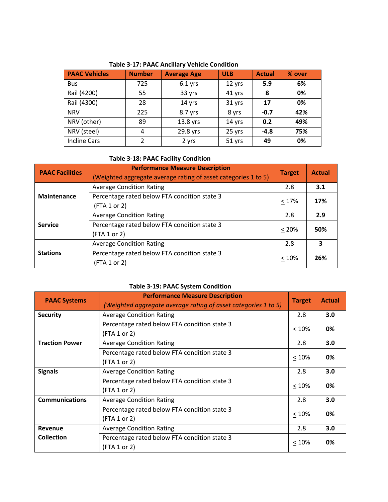| <b>PAAC Vehicles</b> | <b>Number</b>  | <b>Average Age</b> | <b>ULB</b> | <b>Actual</b> | % over |
|----------------------|----------------|--------------------|------------|---------------|--------|
| <b>Bus</b>           | 725            | $6.1$ yrs          | 12 yrs     | 5.9           | 6%     |
| Rail (4200)          | 55             | 33 yrs             | 41 yrs     | 8             | 0%     |
| Rail (4300)          | 28             | 14 yrs             | 31 yrs     | 17            | 0%     |
| <b>NRV</b>           | 225            | 8.7 yrs            | 8 yrs      | $-0.7$        | 42%    |
| NRV (other)          | 89             | 13.8 yrs           | 14 yrs     | 0.2           | 49%    |
| NRV (steel)          | 4              | 29.8 yrs           | 25 yrs     | $-4.8$        | 75%    |
| <b>Incline Cars</b>  | $\mathfrak{p}$ | 2 yrs              | 51 yrs     | 49            | 0%     |

**Table 3-17: PAAC Ancillary Vehicle Condition**

## **Table 3-18: PAAC Facility Condition**

| <b>PAAC Facilities</b> | <b>Performance Measure Description</b><br>(Weighted aggregate average rating of asset categories 1 to 5) | <b>Target</b> | <b>Actual</b> |
|------------------------|----------------------------------------------------------------------------------------------------------|---------------|---------------|
|                        | <b>Average Condition Rating</b>                                                                          | 2.8           | 3.1           |
| <b>Maintenance</b>     | Percentage rated below FTA condition state 3<br>(FTA 1 or 2)                                             | < 17%         | 17%           |
| <b>Service</b>         | <b>Average Condition Rating</b>                                                                          | 2.8           | 2.9           |
|                        | Percentage rated below FTA condition state 3<br>(FTA 1 or 2)                                             | $< 20\%$      | 50%           |
|                        | <b>Average Condition Rating</b>                                                                          | 2.8           | 3             |
| <b>Stations</b>        | Percentage rated below FTA condition state 3<br>(FTA 1 or 2)                                             | < 10%         | 26%           |

## **Table 3-19: PAAC System Condition**

| <b>PAAC Systems</b>   | <b>Performance Measure Description</b><br>(Weighted aggregate average rating of asset categories 1 to 5) | <b>Target</b> | <b>Actual</b> |
|-----------------------|----------------------------------------------------------------------------------------------------------|---------------|---------------|
| <b>Security</b>       | <b>Average Condition Rating</b>                                                                          | 2.8           | 3.0           |
|                       | Percentage rated below FTA condition state 3                                                             | < 10%         | 0%            |
|                       | (FTA 1 or 2)                                                                                             |               |               |
| <b>Traction Power</b> | <b>Average Condition Rating</b>                                                                          | 2.8           | 3.0           |
|                       | Percentage rated below FTA condition state 3                                                             | < 10%         | 0%            |
|                       | (FTA 1 or 2)                                                                                             |               |               |
| <b>Signals</b>        | <b>Average Condition Rating</b>                                                                          | 2.8           | 3.0           |
|                       | Percentage rated below FTA condition state 3                                                             | $< 10\%$      | 0%            |
|                       | (FTA 1 or 2)                                                                                             |               |               |
| <b>Communications</b> | <b>Average Condition Rating</b>                                                                          | 2.8           | 3.0           |
|                       | Percentage rated below FTA condition state 3                                                             | < 10%         | 0%            |
|                       | (FTA 1 or 2)                                                                                             |               |               |
| Revenue               | <b>Average Condition Rating</b>                                                                          | 2.8           | 3.0           |
| <b>Collection</b>     | Percentage rated below FTA condition state 3                                                             | < 10%         | 0%            |
|                       | (FTA 1 or 2)                                                                                             |               |               |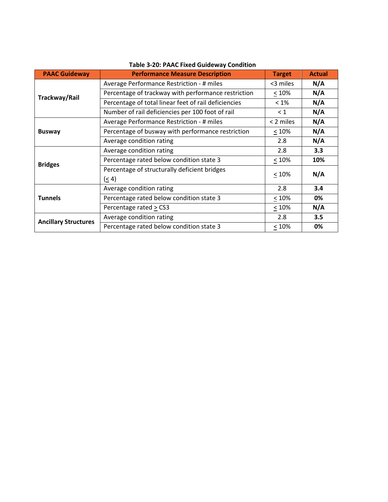| <b>PAAC Guideway</b>        | <b>Performance Measure Description</b>                | <b>Target</b> | <b>Actual</b> |
|-----------------------------|-------------------------------------------------------|---------------|---------------|
|                             | Average Performance Restriction - # miles             | <3 miles      | N/A           |
| Trackway/Rail               | Percentage of trackway with performance restriction   | < 10%         | N/A           |
|                             | Percentage of total linear feet of rail deficiencies  | $< 1\%$       | N/A           |
|                             | Number of rail deficiencies per 100 foot of rail      | $\leq 1$      | N/A           |
|                             | Average Performance Restriction - # miles             | < 2 miles     | N/A           |
| <b>Busway</b>               | Percentage of busway with performance restriction     | < 10%         | N/A           |
|                             | Average condition rating                              | 2.8           | N/A           |
|                             | Average condition rating                              | 2.8           | 3.3           |
| <b>Bridges</b>              | Percentage rated below condition state 3              | $\leq 10\%$   | 10%           |
|                             | Percentage of structurally deficient bridges<br>(< 4) | < 10%         | N/A           |
|                             | Average condition rating                              | 2.8           | 3.4           |
| <b>Tunnels</b>              | Percentage rated below condition state 3              | < 10%         | 0%            |
|                             | Percentage rated > CS3                                | $\leq 10\%$   | N/A           |
|                             | Average condition rating                              | 2.8           | 3.5           |
| <b>Ancillary Structures</b> | Percentage rated below condition state 3              | $\leq 10\%$   | 0%            |

# **Table 3-20: PAAC Fixed Guideway Condition**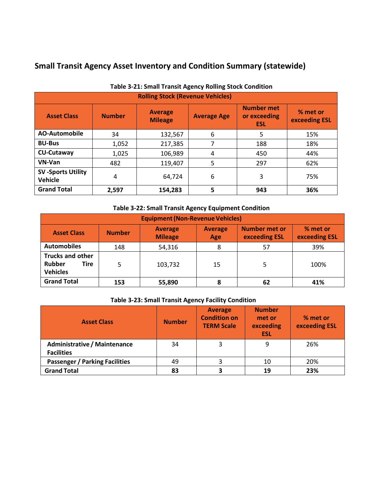# **Small Transit Agency Asset Inventory and Condition Summary (statewide)**

| Table 5-21. Small Hansit Agency Rolling Stock Condition |               |                                  |                    |                                                 |                           |  |  |
|---------------------------------------------------------|---------------|----------------------------------|--------------------|-------------------------------------------------|---------------------------|--|--|
| <b>Rolling Stock (Revenue Vehicles)</b>                 |               |                                  |                    |                                                 |                           |  |  |
| <b>Asset Class</b>                                      | <b>Number</b> | <b>Average</b><br><b>Mileage</b> | <b>Average Age</b> | <b>Number met</b><br>or exceeding<br><b>ESL</b> | % met or<br>exceeding ESL |  |  |
| <b>AO-Automobile</b>                                    | 34            | 132,567                          | 6                  | 5                                               | 15%                       |  |  |
| <b>BU-Bus</b>                                           | 1,052         | 217,385                          | 7                  | 188                                             | 18%                       |  |  |
| <b>CU-Cutaway</b>                                       | 1,025         | 106,989                          | 4                  | 450                                             | 44%                       |  |  |
| VN-Van                                                  | 482           | 119,407                          | 5                  | 297                                             | 62%                       |  |  |
| <b>SV-Sports Utility</b><br>Vehicle                     | 4             | 64,724                           | 6                  | 3                                               | 75%                       |  |  |
| <b>Grand Total</b>                                      | 2,597         | 154,283                          | 5                  | 943                                             | 36%                       |  |  |

## **Table 3-21: Small Transit Agency Rolling Stock Condition**

## **Table 3-22: Small Transit Agency Equipment Condition**

| <b>Equipment (Non-Revenue Vehicles)</b>                             |               |                                  |                       |                                       |                           |
|---------------------------------------------------------------------|---------------|----------------------------------|-----------------------|---------------------------------------|---------------------------|
| <b>Asset Class</b>                                                  | <b>Number</b> | <b>Average</b><br><b>Mileage</b> | <b>Average</b><br>Age | <b>Number met or</b><br>exceeding ESL | % met or<br>exceeding ESL |
| <b>Automobiles</b>                                                  | 148           | 54,316                           | 8                     | 57                                    | 39%                       |
| <b>Trucks and other</b><br><b>Rubber</b><br>Tire<br><b>Vehicles</b> | 5             | 103,732                          | 15                    |                                       | 100%                      |
| <b>Grand Total</b>                                                  | 153           | 55,890                           | 8                     | 62                                    | 41%                       |

## **Table 3-23: Small Transit Agency Facility Condition**

| <b>Asset Class</b>                                       | <b>Number</b> | <b>Average</b><br><b>Condition on</b><br><b>TERM Scale</b> | <b>Number</b><br>met or<br>exceeding<br><b>ESL</b> | % met or<br>exceeding ESL |
|----------------------------------------------------------|---------------|------------------------------------------------------------|----------------------------------------------------|---------------------------|
| <b>Administrative / Maintenance</b><br><b>Facilities</b> | 34            |                                                            | 9                                                  | 26%                       |
| <b>Passenger / Parking Facilities</b>                    | 49            |                                                            | 10                                                 | 20%                       |
| <b>Grand Total</b>                                       | 83            |                                                            | 19                                                 | 23%                       |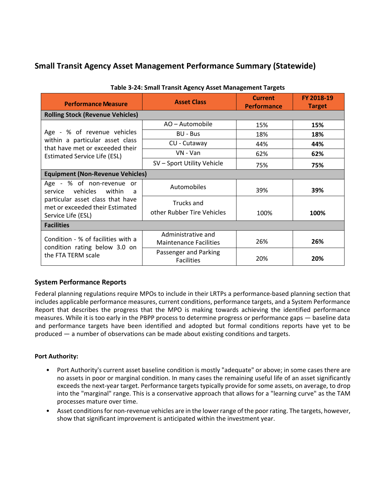# **Small Transit Agency Asset Management Performance Summary (Statewide)**

| <b>Performance Measure</b>                                                                | <b>Asset Class</b>                                  | <b>Current</b><br><b>Performance</b> | FY 2018-19<br><b>Target</b> |  |  |  |
|-------------------------------------------------------------------------------------------|-----------------------------------------------------|--------------------------------------|-----------------------------|--|--|--|
| <b>Rolling Stock (Revenue Vehicles)</b>                                                   |                                                     |                                      |                             |  |  |  |
|                                                                                           | AO - Automobile                                     | 15%                                  | 15%                         |  |  |  |
| Age - % of revenue vehicles                                                               | BU - Bus                                            | 18%                                  | 18%                         |  |  |  |
| within a particular asset class<br>that have met or exceeded their                        | CU - Cutaway                                        | 44%                                  | 44%                         |  |  |  |
| <b>Estimated Service Life (ESL)</b>                                                       | VN - Van                                            | 62%                                  | 62%                         |  |  |  |
|                                                                                           | SV - Sport Utility Vehicle                          | 75%                                  | 75%                         |  |  |  |
| <b>Equipment (Non-Revenue Vehicles)</b>                                                   |                                                     |                                      |                             |  |  |  |
| Age - % of non-revenue or<br>service vehicles within<br>- a                               | Automobiles                                         | 39%                                  | 39%                         |  |  |  |
| particular asset class that have<br>met or exceeded their Estimated<br>Service Life (ESL) | Trucks and<br>other Rubber Tire Vehicles            | 100%                                 | 100%                        |  |  |  |
| <b>Facilities</b>                                                                         |                                                     |                                      |                             |  |  |  |
| Condition - % of facilities with a                                                        | Administrative and<br><b>Maintenance Facilities</b> | 26%                                  | 26%                         |  |  |  |
| condition rating below 3.0 on<br>the FTA TERM scale                                       | Passenger and Parking<br><b>Facilities</b>          | 20%                                  | 20%                         |  |  |  |

#### **Table 3-24: Small Transit Agency Asset Management Targets**

## **System Performance Reports**

Federal planning regulations require MPOs to include in their LRTPs a performance-based planning section that includes applicable performance measures, current conditions, performance targets, and a System Performance Report that describes the progress that the MPO is making towards achieving the identified performance measures. While it is too early in the PBPP process to determine progress or performance gaps — baseline data and performance targets have been identified and adopted but formal conditions reports have yet to be produced — a number of observations can be made about existing conditions and targets.

#### **Port Authority:**

- Port Authority's current asset baseline condition is mostly "adequate" or above; in some cases there are no assets in poor or marginal condition. In many cases the remaining useful life of an asset significantly exceeds the next-year target. Performance targets typically provide for some assets, on average, to drop into the "marginal" range. This is a conservative approach that allows for a "learning curve" as the TAM processes mature over time.
- Asset conditions for non-revenue vehicles are in the lower range of the poor rating. The targets, however, show that significant improvement is anticipated within the investment year.